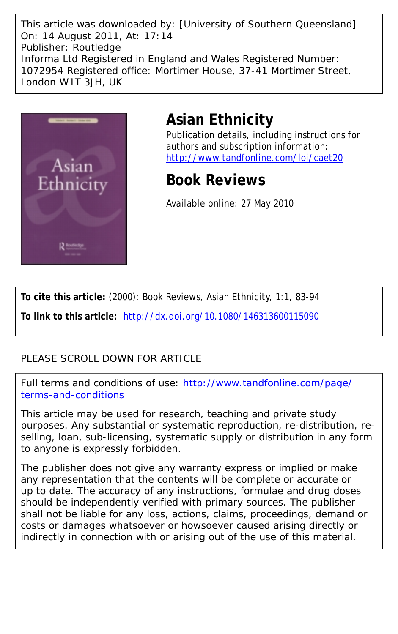This article was downloaded by: [University of Southern Queensland] On: 14 August 2011, At: 17:14 Publisher: Routledge Informa Ltd Registered in England and Wales Registered Number: 1072954 Registered office: Mortimer House, 37-41 Mortimer Street, London W1T 3JH, UK



## **Asian Ethnicity**

Publication details, including instructions for authors and subscription information: <http://www.tandfonline.com/loi/caet20>

## **Book Reviews**

Available online: 27 May 2010

**To cite this article:** (2000): Book Reviews, Asian Ethnicity, 1:1, 83-94

**To link to this article:** <http://dx.doi.org/10.1080/146313600115090>

## PLEASE SCROLL DOWN FOR ARTICLE

Full terms and conditions of use: [http://www.tandfonline.com/page/](http://www.tandfonline.com/page/terms-and-conditions) [terms-and-conditions](http://www.tandfonline.com/page/terms-and-conditions)

This article may be used for research, teaching and private study purposes. Any substantial or systematic reproduction, re-distribution, reselling, loan, sub-licensing, systematic supply or distribution in any form to anyone is expressly forbidden.

The publisher does not give any warranty express or implied or make any representation that the contents will be complete or accurate or up to date. The accuracy of any instructions, formulae and drug doses should be independently verified with primary sources. The publisher shall not be liable for any loss, actions, claims, proceedings, demand or costs or damages whatsoever or howsoever caused arising directly or indirectly in connection with or arising out of the use of this material.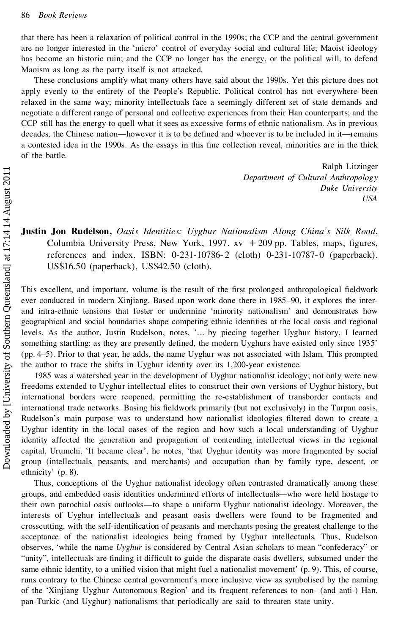that there has been a relaxation of political control in the 1990s; the CCP and the central government are no longer interested in the 'micro' control of everyday social and cultural life; Maoist ideology has become an historic ruin; and the CCP no longer has the energy, or the political will, to defend Maoism as long as the party itself is not attacked.

These conclusions amplify what many others have said about the 1990s. Yet this picture does not apply evenly to the entirety of the People's Republic. Political control has not everywhere been relaxed in the same way; minority intellectuals face a seemingly different set of state demands and negotiate a different range of personal and collective experiences from their Han counterparts; and the CCP still has the energy to quell what it sees as excessive forms of ethnic nationalism. As in previous decades, the Chinese nation—however it is to be defined and whoever is to be included in it—remains a contested idea in the 1990s. As the essays in this fine collection reveal, minorities are in the thick of the battle.

> Ralph Litzinger *Department of Cultural Anthropology Duke University USA*

## **Justin Jon Rudelson,** *Oasis Identities: Uyghur Nationalism Along China's Silk Road*, Columbia University Press, New York, 1997.  $xy + 209$  pp. Tables, maps, figures, references and index. ISBN: 0-231-10786-2 (cloth) 0-231-10787-0 (paperback). US\$16.50 (paperback), US\$42.50 (cloth).

This excellent, and important, volume is the result of the first prolonged anthropological fieldwork ever conducted in modern Xinjiang. Based upon work done there in 1985–90, it explores the inter and intra-ethnic tensions that foster or undermine `minority nationalism' and demonstrates how geographical and social boundaries shape competing ethnic identities at the local oasis and regional levels. As the author, Justin Rudelson, notes, `… by piecing together Uyghur history, I learned something startling: as they are presently defined, the modern Uyghurs have existed only since 1935' (pp. 4–5). Prior to that year, he adds, the name Uyghur was not associated with Islam. This prompted the author to trace the shifts in Uyghur identity over its 1,200-year existence.

1985 was a watershed year in the development of Uyghur nationalist ideology; not only were new freedoms extended to Uyghur intellectual elites to construct their own versions of Uyghur history, but international borders were reopened, permitting the re-establishment of transborder contacts and international trade networks. Basing his fieldwork primarily (but not exclusively) in the Turpan oasis, Rudelson's main purpose was to understand how nationalist ideologies filtered down to create a Uyghur identity in the local oases of the region and how such a local understanding of Uyghur identity affected the generation and propagation of contending intellectual views in the regional capital, Urumchi. `It became clear', he notes, `that Uyghur identity was more fragmented by social group (intellectuals, peasants, and merchants) and occupation than by family type, descent, or ethnicity' (p. 8).

Thus, conceptions of the Uyghur nationalist ideology often contrasted dramatically among these groups, and embedded oasis identities undermined efforts of intellectuals—who were held hostage to their own parochial oasis outlooks—to shape a uniform Uyghur nationalist ideology. Moreover, the interests of Uyghur intellectuals and peasant oasis dwellers were found to be fragmented and crosscutting, with the self-identification of peasants and merchants posing the greatest challenge to the acceptance of the nationalist ideologies being framed by Uyghur intellectuals. Thus, Rudelson observes, `while the name *Uyghur* is considered by Central Asian scholars to mean "confederacy" or "unity", intellectuals are finding it difficult to guide the disparate oasis dwellers, subsumed under the same ethnic identity, to a unified vision that might fuel a nationalist movement' (p. 9). This, of course, runs contrary to the Chinese central government's more inclusive view as symbolised by the naming of the `Xinjiang Uyghur Autonomous Region' and its frequent references to non- (and anti-) Han, **Department of Cultural Multimeters** (and Uyghur Department of Cultural And Use<br>
The Columbia University Press, New York, 1997. xv + 209 pp. Tables, map<br>
references and index. ISBN: 0-231-10786-2 (cloth) 0-231-10787-0 (pa